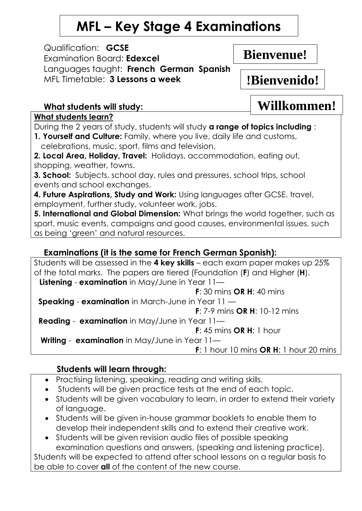## **MFL – Key Stage 4 Examinations**

Qualification: **GCSE**  Examination Board: **Edexcel**  Languages taught: **French German Spanish**  MFL Timetable: **3 Lessons a week**

**Bienvenue!**

**!Bienvenido!**

**Willkommen!**

## **What students will study:**

**What students learn?**

During the 2 years of study, students will study **a range of topics including** :

**1. Yourself and Culture:** Family, where you live, daily life and customs, celebrations, music, sport, films and television.

**2. Local Area, Holiday, Travel:** Holidays, accommodation, eating out, shopping, weather, towns.

**3. School:** Subjects, school day, rules and pressures, school trips, school events and school exchanges.

**4. Future Aspirations, Study and Work:** Using languages after GCSE, travel, employment, further study, volunteer work, jobs.

**5. International and Global Dimension:** What brings the world together, such as sport, music events, campaigns and good causes, environmental issues, such as being 'green' and natural resources.

## **Examinations (it is the same for French German Spanish):**

Students will be assessed in the **4 key skills** – each exam paper makes up 25% of the total marks. The papers are tiered (Foundation (**F**) and Higher (**H**). **Listening** - **examination** in May/June in Year 11—  **F**: 30 mins **OR H**: 40 mins **Speaking** - **examination** in March-June in Year 11 —  **F**: 7-9 mins **OR H**: 10-12 mins **Reading** - **examination** in May/June in Year 11—  **F**: 45 mins **OR H**: 1 hour **Writing** - **examination** in May/June in Year 11—  **F**: 1 hour 10 mins **OR H**: 1 hour 20 mins

## **Students will learn through:**

- Practising listening, speaking, reading and writing skills.
- Students will be given practice tests at the end of each topic.
- Students will be given vocabulary to learn, in order to extend their variety of language.
- Students will be given in-house grammar booklets to enable them to develop their independent skills and to extend their creative work.
- Students will be given revision audio files of possible speaking examination questions and answers, (speaking and listening practice).

Students will be expected to attend after school lessons on a regular basis to be able to cover **all** of the content of the new course.